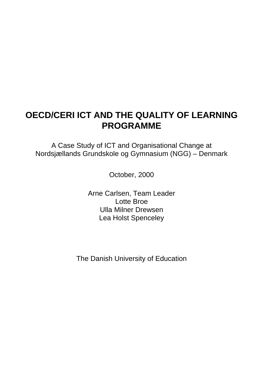## **OECD/CERI ICT AND THE QUALITY OF LEARNING PROGRAMME**

A Case Study of ICT and Organisational Change at Nordsjællands Grundskole og Gymnasium (NGG) – Denmark

October, 2000

Arne Carlsen, Team Leader Lotte Broe Ulla Milner Drewsen Lea Holst Spenceley

The Danish University of Education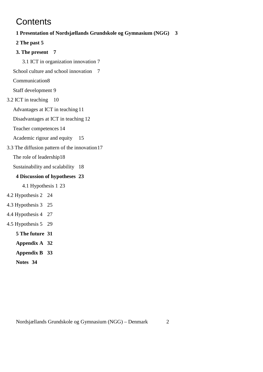## **Contents**

## **1 Presentation of Nordsjællands Grundskole og Gymnasium (NGG) 3**

**2 The past 5**

### **3. The present 7**

3.1 ICT in organization innovation 7

School culture and school innovation 7

Communication8

Staff development 9

### 3.2 ICT in teaching 10

Advantages at ICT in teaching 11

Disadvantages at ICT in teaching 12

Teacher competences 14

Academic rigour and equity 15

3.3 The diffusion pattern of the innovation17

The role of leadership18

Sustainability and scalability 18

### **4 Discussion of hypotheses 23**

4.1 Hypothesis 1 23

- 4.2 Hypothesis 2 24
- 4.3 Hypothesis 3 25
- 4.4 Hypothesis 4 27
- 4.5 Hypothesis 5 29
	- **5 The future 31**
	- **Appendix A 32**
	- **Appendix B 33**
	- **Notes 34**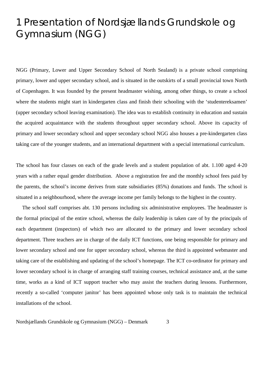## 1 Presentation of Nordsjællands Grundskole og Gymnasium (NGG)

NGG (Primary, Lower and Upper Secondary School of North Sealand) is a private school comprising primary, lower and upper secondary school, and is situated in the outskirts of a small provincial town North of Copenhagen. It was founded by the present headmaster wishing, among other things, to create a school where the students might start in kindergarten class and finish their schooling with the 'studentereksamen' (upper secondary school leaving examination). The idea was to establish continuity in education and sustain the acquired acquaintance with the students throughout upper secondary school. Above its capacity of primary and lower secondary school and upper secondary school NGG also houses a pre-kindergarten class taking care of the younger students, and an international department with a special international curriculum.

The school has four classes on each of the grade levels and a student population of abt. 1.100 aged 4-20 years with a rather equal gender distribution. Above a registration fee and the monthly school fees paid by the parents, the school's income derives from state subsidiaries (85%) donations and funds. The school is situated in a neighbourhood, where the average income per family belongs to the highest in the country.

The school staff comprises abt. 130 persons including six administrative employees. The headmaster is the formal principal of the entire school, whereas the daily leadership is taken care of by the principals of each department (inspectors) of which two are allocated to the primary and lower secondary school department. Three teachers are in charge of the daily ICT functions, one being responsible for primary and lower secondary school and one for upper secondary school, whereas the third is appointed webmaster and taking care of the establishing and updating of the school's homepage. The ICT co-ordinator for primary and lower secondary school is in charge of arranging staff training courses, technical assistance and, at the same time, works as a kind of ICT support teacher who may assist the teachers during lessons. Furthermore, recently a so-called 'computer janitor' has been appointed whose only task is to maintain the technical installations of the school.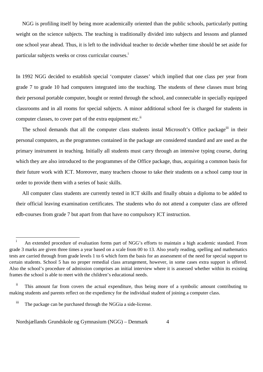NGG is profiling itself by being more academically oriented than the public schools, particularly putting weight on the science subjects. The teaching is traditionally divided into subjects and lessons and planned one school year ahead. Thus, it is left to the individual teacher to decide whether time should be set aside for particular subjects weeks or cross curricular courses.<sup>i</sup>

In 1992 NGG decided to establish special 'computer classes' which implied that one class per year from grade 7 to grade 10 had computers integrated into the teaching. The students of these classes must bring their personal portable computer, bought or rented through the school, and connectable in specially equipped classrooms and in all rooms for special subjects. A minor additional school fee is charged for students in computer classes, to cover part of the extra equipment etc.<sup>ii</sup>

The school demands that all the computer class students instal Microsoft's Office package<sup>iii</sup> in their personal computers, as the programmes contained in the package are considered standard and are used as the primary instrument in teaching. Initially all students must carry through an intensive typing course, during which they are also introduced to the programmes of the Office package, thus, acquiring a common basis for their future work with ICT. Moreover, many teachers choose to take their students on a school camp tour in order to provide them with a series of basic skills.

All computer class students are currently tested in ICT skills and finally obtain a diploma to be added to their official leaving examination certificates. The students who do not attend a computer class are offered edb-courses from grade 7 but apart from that have no compulsory ICT instruction.

 $\mathbf{i}$ An extended procedure of evaluation forms part of NGG's efforts to maintain a high academic standard. From grade 3 marks are given three times a year based on a scale from 00 to 13. Also yearly reading, spelling and mathematics tests are carried through from grade levels 1 to 6 which form the basis for an assessment of the need for special support to certain students. School 5 has no proper remedial class arrangement, however, in some cases extra support is offered. Also the school's procedure of admission comprises an initial interview where it is assessed whether within its existing frames the school is able to meet with the children's educational needs.

ii This amount far from covers the actual expenditure, thus being more of a symbolic amount contributing to making students and parents reflect on the expediency for the individual student of joining a computer class.

iii The package can be purchased through the NGGia a side-license.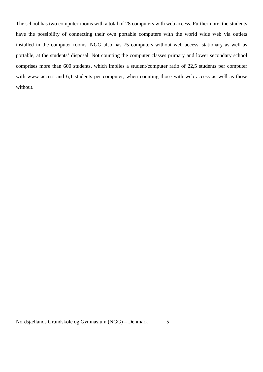The school has two computer rooms with a total of 28 computers with web access. Furthermore, the students have the possibility of connecting their own portable computers with the world wide web via outlets installed in the computer rooms. NGG also has 75 computers without web access, stationary as well as portable, at the students' disposal. Not counting the computer classes primary and lower secondary school comprises more than 600 students, which implies a student/computer ratio of 22,5 students per computer with www access and 6,1 students per computer, when counting those with web access as well as those without.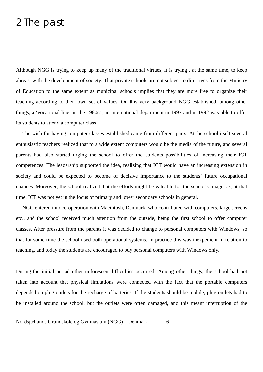## 2 The past

Although NGG is trying to keep up many of the traditional virtues, it is trying , at the same time, to keep abreast with the development of society. That private schools are not subject to directives from the Ministry of Education to the same extent as municipal schools implies that they are more free to organize their teaching according to their own set of values. On this very background NGG established, among other things, a 'vocational line' in the 1980es, an international department in 1997 and in 1992 was able to offer its students to attend a computer class.

The wish for having computer classes established came from different parts. At the school itself several enthusiastic teachers realized that to a wide extent computers would be the media of the future, and several parents had also started urging the school to offer the students possibilities of increasing their ICT competences. The leadership supported the idea, realizing that ICT would have an increasing extension in society and could be expected to become of decisive importance to the students' future occupational chances. Moreover, the school realized that the efforts might be valuable for the school's image, as, at that time, ICT was not yet in the focus of primary and lower secondary schools in general.

NGG entered into co-operation with Macintosh, Denmark, who contributed with computers, large screens etc., and the school received much attention from the outside, being the first school to offer computer classes. After pressure from the parents it was decided to change to personal computers with Windows, so that for some time the school used both operational systems. In practice this was inexpedient in relation to teaching, and today the students are encouraged to buy personal computers with Windows only.

During the initial period other unforeseen difficulties occurred: Among other things, the school had not taken into account that physical limitations were connected with the fact that the portable computers depended on plug outlets for the recharge of batteries. If the students should be mobile, plug outlets had to be installed around the school, but the outlets were often damaged, and this meant interruption of the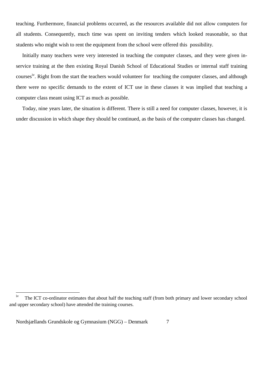teaching. Furthermore, financial problems occurred, as the resources available did not allow computers for all students. Consequently, much time was spent on inviting tenders which looked reasonable, so that students who might wish to rent the equipment from the school were offered this possibility.

Initially many teachers were very interested in teaching the computer classes, and they were given inservice training at the then existing Royal Danish School of Educational Studies or internal staff training courses<sup>iv</sup>. Right from the start the teachers would volunteer for teaching the computer classes, and although there were no specific demands to the extent of ICT use in these classes it was implied that teaching a computer class meant using ICT as much as possible.

Today, nine years later, the situation is different. There is still a need for computer classes, however, it is under discussion in which shape they should be continued, as the basis of the computer classes has changed.

 $\overline{a}$ 

<sup>&</sup>lt;sup>iv</sup> The ICT co-ordinator estimates that about half the teaching staff (from both primary and lower secondary school and upper secondary school) have attended the training courses.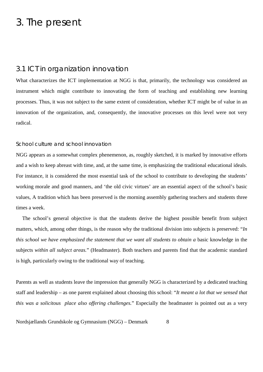## 3. The present

### 3.1 ICT in organization innovation

What characterizes the ICT implementation at NGG is that, primarily, the technology was considered an instrument which might contribute to innovating the form of teaching and establishing new learning processes. Thus, it was not subject to the same extent of consideration, whether ICT might be of value in an innovation of the organization, and, consequently, the innovative processes on this level were not very radical.

### School culture and school innovation

NGG appears as a somewhat complex phenemenon, as, roughly sketched, it is marked by innovative efforts and a wish to keep abreast with time, and, at the same time, is emphasizing the traditional educational ideals. For instance, it is considered the most essential task of the school to contribute to developing the students' working morale and good manners, and 'the old civic virtues' are an essential aspect of the school's basic values, A tradition which has been preserved is the morning assembly gathering teachers and students three times a week.

The school's general objective is that the students derive the highest possible benefit from subject matters, which, among other things, is the reason why the traditional division into subjects is preserved: "*In this school we have emphasized the statement that we want all students to obtain a basic knowledge in the* subjects *within all subject areas.*" (Headmaster). Both teachers and parents find that the academic standard is high, particularly owing to the traditional way of teaching.

Parents as well as students leave the impression that generally NGG is characterized by a dedicated teaching staff and leadership – as one parent explained about choosing this school: "*It meant a lot that we sensed that this was a solicitous place also offering challenges.*" Especially the headmaster is pointed out as a very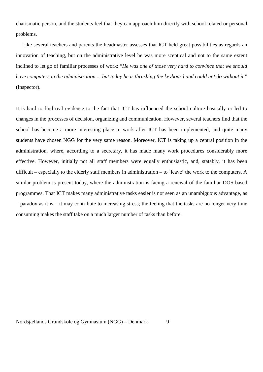charismatic person, and the students feel that they can approach him directly with school related or personal problems.

Like several teachers and parents the headmaster assesses that ICT held great possibilities as regards an innovation of teaching, but on the administrative level he was more sceptical and not to the same extent inclined to let go of familiar processes of work: "*He was one of those very hard to convince that we should have computers in the administration ... but today he is thrashing the keyboard and could not do without it*." (Inspector).

It is hard to find real evidence to the fact that ICT has influenced the school culture basically or led to changes in the processes of decision, organizing and communication. However, several teachers find that the school has become a more interesting place to work after ICT has been implemented, and quite many students have chosen NGG for the very same reason. Moreover, ICT is taking up a central position in the administration, where, according to a secretary, it has made many work procedures considerably more effective. However, initially not all staff members were equally enthusiastic, and, statably, it has been difficult – especially to the elderly staff members in administration – to 'leave' the work to the computers. A similar problem is present today, where the administration is facing a renewal of the familiar DOS-based programmes. That ICT makes many administrative tasks easier is not seen as an unambiguous advantage, as – paradox as it is – it may contribute to increasing stress; the feeling that the tasks are no longer very time consuming makes the staff take on a much larger number of tasks than before.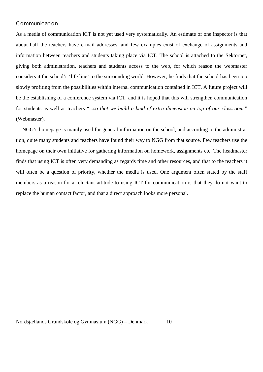### Communication

As a media of communication ICT is not yet used very systematically. An estimate of one inspector is that about half the teachers have e-mail addresses, and few examples exist of exchange of assignments and information between teachers and students taking place via ICT. The school is attached to the Sektornet, giving both administration, teachers and students access to the web, for which reason the webmaster considers it the school's 'life line' to the surrounding world. However, he finds that the school has been too slowly profiting from the possibilities within internal communication contained in ICT. A future project will be the establishing of a conference system via ICT, and it is hoped that this will strengthen communication for students as well as teachers "...*so that we build a kind of extra dimension on top of our classroom.*" (Webmaster).

NGG's homepage is mainly used for general information on the school, and according to the administration, quite many students and teachers have found their way to NGG from that source. Few teachers use the homepage on their own initiative for gathering information on homework, assignments etc. The headmaster finds that using ICT is often very demanding as regards time and other resources, and that to the teachers it will often be a question of priority, whether the media is used. One argument often stated by the staff members as a reason for a reluctant attitude to using ICT for communication is that they do not want to replace the human contact factor, and that a direct approach looks more personal.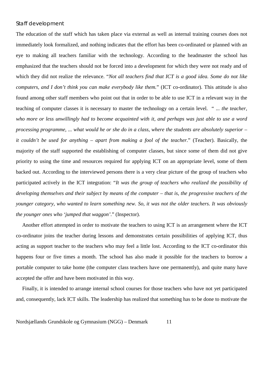### Staff development

The education of the staff which has taken place via external as well as internal training courses does not immediately look formalized, and nothing indicates that the effort has been co-ordinated or planned with an eye to making all teachers familiar with the technology. According to the headmaster the school has emphasized that the teachers should not be forced into a development for which they were not ready and of which they did not realize the relevance. "*Not all teachers find that ICT is a good idea. Some do not like computers, and I don't think you can make everybody like them.*" (ICT co-ordinator). This attitude is also found among other staff members who point out that in order to be able to use ICT in a relevant way in the teaching of computer classes it is necessary to master the technology on a certain level. " ... *the teacher, who more or less unwillingly had to become acquainted with it, and perhaps was just able to use a word processing programme, ... what would he or she do in a class, where the students are absolutely superior – it couldn't be used for anything – apart from making a fool of the teacher.*" (Teacher). Basically, the majority of the staff supported the establishing of computer classes, but since some of them did not give priority to using the time and resources required for applying ICT on an appropriate level, some of them backed out. According to the interviewed persons there is a very clear picture of the group of teachers who participated actively in the ICT integration: "*It was the group of teachers who realized the possibility of developing themselves and their subject by means of the computer – that is, the progressive teachers of the younger category, who wanted to learn something new. So, it was not the older teachers. It was obviously the younger ones who 'jumped that waggon'*." (Inspector).

Another effort attempted in order to motivate the teachers to using ICT is an arrangement where the ICT co-ordinator joins the teacher during lessons and demonstrates certain possibilities of applying ICT, thus acting as support teacher to the teachers who may feel a little lost. According to the ICT co-ordinator this happens four or five times a month. The school has also made it possible for the teachers to borrow a portable computer to take home (the computer class teachers have one permanently), and quite many have accepted the offer and have been motivated in this way.

Finally, it is intended to arrange internal school courses for those teachers who have not yet participated and, consequently, lack ICT skills. The leadership has realized that something has to be done to motivate the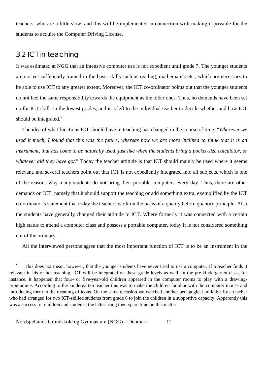teachers, who are a little slow, and this will be implemented in connection with making it possible for the students to acquire the Computer Driving License.

## 3.2 ICT in teaching

 $\overline{a}$ 

It was estimated at NGG that an intensive computer use is not expedient until grade 7. The younger students are not yet sufficiently trained in the basic skills such as reading, mathematics etc., which are necessary to be able to use ICT to any greater extent. Moreover, the ICT co-ordinator points out that the younger students do not feel the same responsibility towards the equipment as the older ones. Thus, no demands have been set up for ICT skills in the lowest grades, and it is left to the individual teacher to decide whether and how ICT should be integrated. $<sup>v</sup>$ </sup>

The idea of what functions ICT should have in teaching has changed in the course of time: "*Wherever we used it much, I found that* this *was the future, whereas now we are more inclined to think that it is an instrument, that has come to be naturally used, just like when the students bring a pocket-size calculator, or whatever aid they have got.*" Today the teacher attitude is that ICT should mainly be used where it seems relevant, and several teachers point out that ICT is not expediently integrated into all subjects, which is one of the reasons why many students do not bring their portable computers every day. Thus, there are other demands on ICT, namely that it should support the teaching or add something extra, exemplified by the ICT co-ordinator's statement that today the teachers work on the basis of a quality before quantity principle. Also the students have generally changed their attitude to ICT. Where formerly it was connected with a certain high status to attend a computer class and possess a portable computer, today it is not considered something out of the ordinary.

All the interviewed persons agree that the most important function of ICT is to be an instrument in the

<sup>&</sup>lt;sup>v</sup> This does not mean, however, that the younger students have never tried to use a computer. If a teacher finds it relevant in his or her teaching, ICT will be integrated on these grade levels as well. In the pre-kindergarten class, for instance, it happened that four- or five-year-old children appeared in the computer rooms to play with a drawingprogramme. According to the kindergarten teacher this was to make the children familiar with the computer mouse and introducing them to the meaning of icons. On the same occasion we watched another pedagogical initiative by a teacher who had arranged for two ICT-skilled students from grade 8 to join the children in a supportive capacity. Apparently this was a success for children and students, the latter using their spare time on this matter.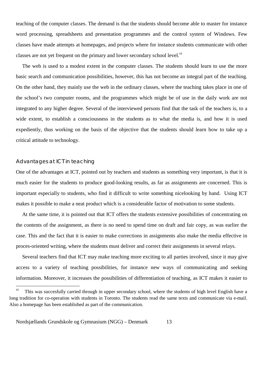teaching of the computer classes. The demand is that the students should become able to master for instance word processing, spreadsheets and presentation programmes and the control system of Windows. Few classes have made attempts at homepages, and projects where for instance students communicate with other classes are not yet frequent on the primary and lower secondary school level.<sup>vi</sup>

The web is used to a modest extent in the computer classes. The students should learn to use the more basic search and communication possibilities, however, this has not become an integral part of the teaching. On the other hand, they mainly use the web in the ordinary classes, where the teaching takes place in one of the school's two computer rooms, and the programmes which might be of use in the daily work are not integrated to any higher degree. Several of the interviewed persons find that the task of the teachers is, to a wide extent, to establish a consciousness in the students as to what the media is, and how it is used expediently, thus working on the basis of the objective that the students should learn how to take up a critical attitude to technology.

### Advantages at ICT in teaching

One of the advantages at ICT, pointed out by teachers and students as something very important, is that it is much easier for the students to produce good-looking results, as far as assignments are concerned. This is important especially to students, who find it difficult to write something nicelooking by hand. Using ICT makes it possible to make a neat product which is a considerable factor of motivation to some students.

At the same time, it is pointed out that ICT offers the students extensive possibilities of concentrating on the contents of the assignment, as there is no need to spend time on draft and fair copy, as was earlier the case. This and the fact that it is easier to make corrections in assignments also make the media effective in proces-oriented writing, where the students must deliver and correct their assignments in several relays.

Several teachers find that ICT may make teaching more exciting to all parties involved, since it may give access to a variety of teaching possibilities, for instance new ways of communicating and seeking information. Moreover, it increases the possibilities of differentiation of teaching, as ICT makes it easier to

vi This was succesfully carried through in upper secondary school, where the students of high level English have a long tradition for co-operation with students in Toronto. The students read the same texts and communicate via e-mail. Also a homepage has been established as part of the communication.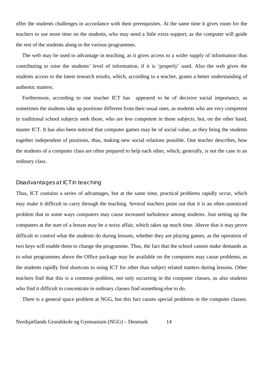offer the students challenges in accordance with their prerequisites. At the same time it gives room for the teachers to use more time on the students, who may need a little extra support, as the computer will guide the rest of the students along in the various programmes.

The web may be used to advantage in teaching, as it gives access to a wider supply of information thus contributing to raise the students' level of information, if it is 'properly' used. Also the web gives the students access to the latest research results, which, according to a teacher, grants a better understanding of authentic matters.

Furthermore, according to one teacher ICT has appeared to be of decisive social importance, as sometimes the students take up positions different from their usual ones, as students who are very competent in traditional school subjects seek those, who are less competent in those subjects, but, on the other hand, master ICT. It has also been noticed that computer games may be of social value, as they bring the students together independent of positions, thus, making new social relations possible. One teacher describes, how the students of a computer class are often prepared to help each other, which, generally, is not the case in an ordinary class.

### Disadvantages at ICT in teaching

Thus, ICT contains a series of advantages, but at the same time, practical problems rapidly occur, which may make it difficult to carry through the teaching. Several teachers point out that it is an often unnoticed problem that in some ways computers may cause increased turbulence among students. Just setting up the computers at the start of a lesson may be a noisy affair, which takes up much time. Above that it may prove difficult to control what the students do during lessons, whether they are playing games, as the operation of two keys will enable them to change the programme. Thus, the fact that the school cannot make demands as to what programmes above the Office package may be available on the computers may cause problems, as the students rapidly find shortcuts to using ICT for other than subject related matters during lessons. Other teachers find that this is a common problem, not only occurring in the computer classes, as also students who find it difficult to concentrate in ordinary classes find something else to do.

There is a general space problem at NGG, but this fact causes special problems in the computer classes.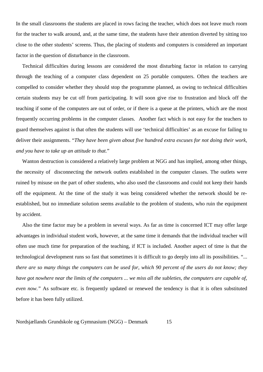In the small classrooms the students are placed in rows facing the teacher, which does not leave much room for the teacher to walk around, and, at the same time, the students have their attention diverted by sitting too close to the other students' screens. Thus, the placing of students and computers is considered an important factor in the question of disturbance in the classroom.

Technical difficulties during lessons are considered the most disturbing factor in relation to carrying through the teaching of a computer class dependent on 25 portable computers. Often the teachers are compelled to consider whether they should stop the programme planned, as owing to technical difficulties certain students may be cut off from participating. It will soon give rise to frustration and block off the teaching if some of the computers are out of order, or if there is a queue at the printers, which are the most frequently occurring problems in the computer classes. Another fact which is not easy for the teachers to guard themselves against is that often the students will use 'technical difficulties' as an excuse for failing to deliver their assignments. "*They have been given about five hundred extra excuses for not doing their work, and you have to take up an attitude to that.*"

Wanton destruction is considered a relatively large problem at NGG and has implied, among other things, the necessity of disconnecting the network outlets established in the computer classes. The outlets were ruined by misuse on the part of other students, who also used the classrooms and could not keep their hands off the equipment. At the time of the study it was being considered whether the network should be reestablished, but no immediate solution seems available to the problem of students, who ruin the equipment by accident.

Also the time factor may be a problem in several ways. As far as time is concerned ICT may offer large advantages in individual student work, however, at the same time it demands that the individual teacher will often use much time for preparation of the teaching, if ICT is included. Another aspect of time is that the technological development runs so fast that sometimes it is difficult to go deeply into all its possibilities. "... *there are so many things the computers can be used for, which 90 percent of the users do not know; they have got nowhere near the limits of the computers ... we miss all the subleties, the computers are capable of, even now.*" As software etc. is frequently updated or renewed the tendency is that it is often substituted before it has been fully utilized.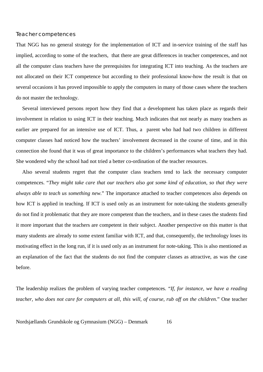#### Teacher competences

That NGG has no general strategy for the implementation of ICT and in-service training of the staff has implied, according to some of the teachers, that there are great differences in teacher competences, and not all the computer class teachers have the prerequisites for integrating ICT into teaching. As the teachers are not allocated on their ICT competence but according to their professional know-how the result is that on several occasions it has proved impossible to apply the computers in many of those cases where the teachers do not master the technology.

Several interviewed persons report how they find that a development has taken place as regards their involvement in relation to using ICT in their teaching. Much indicates that not nearly as many teachers as earlier are prepared for an intensive use of ICT. Thus, a parent who had had two children in different computer classes had noticed how the teachers' involvement decreased in the course of time, and in this connection she found that it was of great importance to the children's performances what teachers they had. She wondered why the school had not tried a better co-ordination of the teacher resources.

Also several students regret that the computer class teachers tend to lack the necessary computer competences. "*They might take care that our teachers also got some kind of education, so that they were always able to teach us something new.*" The importance attached to teacher competences also depends on how ICT is applied in teaching. If ICT is used only as an instrument for note-taking the students generally do not find it problematic that they are more competent than the teachers, and in these cases the students find it more important that the teachers are competent in their subject. Another perspective on this matter is that many students are already to some extent familiar with ICT, and that, consequently, the technology loses its motivating effect in the long run, if it is used only as an instrument for note-taking. This is also mentioned as an explanation of the fact that the students do not find the computer classes as attractive, as was the case before.

The leadership realizes the problem of varying teacher competences. "*If, for instance, we have a reading teacher, who does not care for computers at all, this will, of course, rub off on the children.*" One teacher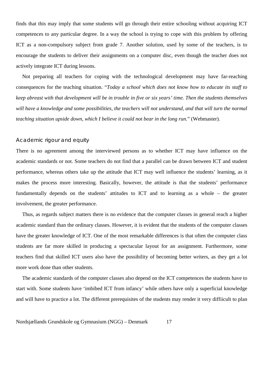finds that this may imply that some students will go through their entire schooling without acquiring ICT competences to any particular degree. In a way the school is trying to cope with this problem by offering ICT as a non-compulsory subject from grade 7. Another solution, used by some of the teachers, is to encourage the students to deliver their assignments on a computer disc, even though the teacher does not actively integrate ICT during lessons.

Not preparing all teachers for coping with the technological development may have far-reaching consequences for the teaching situation. "*Today a school which does not know how to educate its staff to keep abreast with that development will be in trouble in five or six years' time. Then the students themselves will have a knowledge and some possibilities, the teachers will not understand, and that will turn the normal teaching situation upside down, which I believe it could not bear in the long run.*" (Webmaster).

#### Academic rigour and equity

There is no agreement among the interviewed persons as to whether ICT may have influence on the academic standards or not. Some teachers do not find that a parallel can be drawn between ICT and student performance, whereas others take up the attitude that ICT may well influence the students' learning, as it makes the process more interesting. Basically, however, the attitude is that the students' performance fundamentally depends on the students' attitudes to ICT and to learning as a whole – the greater involvement, the greater performance.

Thus, as regards subject matters there is no evidence that the computer classes in general reach a higher academic standard than the ordinary classes. However, it is evident that the students of the computer classes have the greater knowledge of ICT. One of the most remarkable differences is that often the computer class students are far more skilled in producing a spectacular layout for an assignment. Furthermore, some teachers find that skilled ICT users also have the possibility of becoming better writers, as they get a lot more work done than other students.

The academic standards of the computer classes also depend on the ICT competences the students have to start with. Some students have 'imbibed ICT from infancy' while others have only a superficial knowledge and will have to practice a lot. The different prerequisites of the students may render it very diffiicult to plan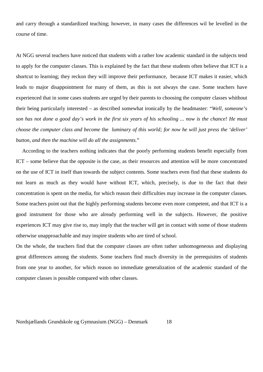and carry through a standardized teaching; however, in many cases the differences wil be levelled in the course of time.

At NGG several teachers have noticed that students with a rather low academic standard in the subjects tend to apply for the computer classes. This is explained by the fact that these students often believe that ICT is a shortcut to learning; they reckon they will improve their performance, because ICT makes it easier, which leads to major disappointment for many of them, as this is not always the case. Some teachers have experienced that in some cases students are urged by their parents to choosing the computer classes whithout their being particularly interested – as described somewhat ironically by the headmaster: "*Well, someone's son has not done a good day's work in the first six years of his schooling ... now is the chance! He must choose the computer class and become* the *luminary of this world; for now he will just press the 'deliver' button, and then the machine will do all the assignments.*"

According to the teachers nothing indicates that the poorly performing students benefit especially from ICT – some believe that the opposite is the case, as their resources and attention will be more concentrated on the use of ICT in itself than towards the subject contents. Some teachers even find that these students do not learn as much as they would have without ICT, which, precisely, is due to the fact that their concentration is spent on the media, for which reason their difficulties may increase in the computer classes. Some teachers point out that the highly performing students become even more competent, and that ICT is a good instrument for those who are already performing well in the subjects. However, the positive experiences ICT may give rise to, may imply that the teacher will get in contact with some of those students otherwise unapproachable and may inspire students who are tired of school.

On the whole, the teachers find that the computer classes are often rather unhomogeneous and displaying great differences among the students. Some teachers find much diversity in the prerequisites of students from one year to another, for which reason no immediate generalization of the academic standard of the computer classes is possible compared with other classes.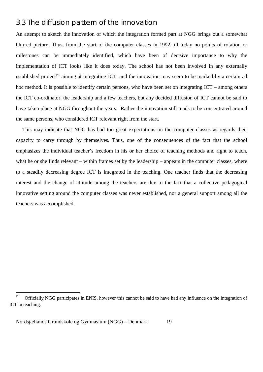## 3.3 The diffusion pattern of the innovation

An attempt to sketch the innovation of which the integration formed part at NGG brings out a somewhat blurred picture. Thus, from the start of the computer classes in 1992 till today no points of rotation or milestones can be immediately identified, which have been of decisive importance to why the implementation of ICT looks like it does today. The school has not been involved in any externally established project<sup>vii</sup> aiming at integrating ICT, and the innovation may seem to be marked by a certain ad hoc method. It is possible to identify certain persons, who have been set on integrating ICT – among others the ICT co-ordinator, the leadership and a few teachers, but any decided diffusion of ICT cannot be said to have taken place at NGG throughout the years. Rather the innovation still tends to be concentrated around the same persons, who considered ICT relevant right from the start.

This may indicate that NGG has had too great expectations on the computer classes as regards their capacity to carry through by themselves. Thus, one of the consequences of the fact that the school emphasizes the individual teacher's freedom in his or her choice of teaching methods and right to teach, what he or she finds relevant – within frames set by the leadership – appears in the computer classes, where to a steadily decreasing degree ICT is integrated in the teaching. One teacher finds that the decreasing interest and the change of attitude among the teachers are due to the fact that a collective pedagogical innovative setting around the computer classes was never established, nor a general support among all the teachers was accomplished.

 $\overline{a}$ 

<sup>&</sup>lt;sup>vii</sup> Officially NGG participates in ENIS, however this cannot be said to have had any influence on the integration of ICT in teaching.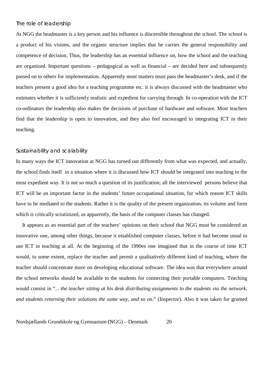### The role of leadership

At NGG the headmaster is a key person and his influence is discernible throughout the school. The school is a product of his visions, and the organic structure implies that he carries the general responsibility and competence of decision. Thus, the leadership has an essential influence on, how the school and the teaching are organized. Important questions – pedagogical as well as financial – are decided here and subsequently passed on to others for implementation. Apparently most matters must pass the headmaster's desk, and if the teachers present a good idea for a teaching programme etc. it is always discussed with the headmaster who estimates whether it is sufficiently realistic and expedient for carrying through. In co-operation with the ICT co-ordinators the leadership also makes the decisions of purchase of hardware and software. Most teachers find that the leadership is open to innovation, and they also feel encouraged to integrating ICT in their teaching.

#### Sustainability and scalability

In many ways the ICT innovation at NGG has turned out differently from what was expected, and actually, the school finds itself in a situation where it is discussed how ICT should be integrated into teaching in the most expedient way. It is not so much a question of its justification; all the interviewed persons believe that ICT will be an important factor in the students' future occupational situation, for which reason ICT skills have to be mediated to the students. Rather it is the quality of the present organization, its volume and form which is critically scrutinized, as apparently, the basis of the computer classes has changed.

It appears as an essential part of the teachers' opinions on their school that NGG must be considered an innovative one, among other things, because it established computer classes, before it had become usual to use ICT in teaching at all. At the beginning of the 1990es one imagined that in the course of time ICT would, to some extent, replace the teacher and permit a qualitatively different kind of teaching, where the teacher should concentrate more on developing educational software. The idea was that everywhere around the school networks should be available to the students for connecting their portable computers. Teaching would consist in "... *the teacher sitting at his desk distributing assignments to the students via the network, and students returning their solutions the same way, and so on.*" (Inspector). Also it was taken for granted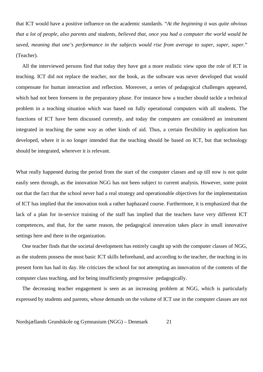that ICT would have a positive influence on the academic standards. "*At the beginning it was quite obvious that a lot of people, also parents and students, believed that, once you had a computer the world would be saved, meaning that one's performance in the subjects would rise from average to super, super, super.*" (Teacher).

All the interviewed persons find that today they have got a more realistic view upon the role of ICT in teaching. ICT did not replace the teacher, nor the book, as the software was never developed that would compensate for human interaction and reflection. Moreover, a series of pedagogical challenges appeared, which had not been foreseen in the preparatory phase. For instance how a teacher should tackle a technical problem in a teaching situation which was based on fully operational computers with all students. The functions of ICT have been discussed currently, and today the computers are considered an instrument integrated in teaching the same way as other kinds of aid. Thus, a certain flexibility in application has developed, where it is no longer intended that the teaching should be based on ICT, but that technology should be integrated, wherever it is relevant.

What really happened during the period from the start of the computer classes and up till now is not quite easily seen through, as the innovation NGG has not been subject to current analysis. However, some point out that the fact that the school never had a real strategy and operationable objectives for the implementation of ICT has implied that the innovation took a rather haphazard course. Furthermore, it is emphasized that the lack of a plan for in-service training of the staff has implied that the teachers have very different ICT competences, and that, for the same reason, the pedagogical innovation takes place in small innovative settings here and there in the organization.

One teacher finds that the societal development has entirely caught up with the computer classes of NGG, as the students possess the most basic ICT skills beforehand, and according to the teacher, the teaching in its present form has had its day. He criticizes the school for not attempting an innovation of the contents of the computer class teaching, and for being insufficiently progressive pedagogically.

The decreasing teacher engagement is seen as an increasing problem at NGG, which is particularly expressed by students and parents, whose demands on the volume of ICT use in the computer classes are not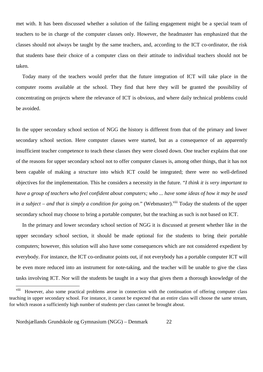met with. It has been discussed whether a solution of the failing engagement might be a special team of teachers to be in charge of the computer classes only. However, the headmaster has emphasized that the classes should not always be taught by the same teachers, and, according to the ICT co-ordinator, the risk that students base their choice of a computer class on their attitude to individual teachers should not be taken.

Today many of the teachers would prefer that the future integration of ICT will take place in the computer rooms available at the school. They find that here they will be granted the possibility of concentrating on projects where the relevance of ICT is obvious, and where daily technical problems could be avoided.

In the upper secondary school section of NGG the history is different from that of the primary and lower secondary school section. Here computer classes were started, but as a consequence of an apparently insufficient teacher competence to teach these classes they were closed down. One teacher explains that one of the reasons for upper secondary school not to offer computer classes is, among other things, that it has not been capable of making a structure into which ICT could be integrated; there were no well-defined objectives for the implementation. This he considers a necessity in the future. "*I think it is very important to have a group of teachers who feel confident about computers; who ... have some ideas of how it may be used in a subject – and that is simply a condition for going on.*" (Webmaster).<sup>viii</sup> Today the students of the upper secondary school may choose to bring a portable computer, but the teaching as such is not based on ICT.

In the primary and lower secondary school section of NGG it is discussed at present whether like in the upper secondary school section, it should be made optional for the students to bring their portable computers; however, this solution will also have some consequences which are not considered expedient by everybody. For instance, the ICT co-ordinator points out, if not everybody has a portable computer ICT will be even more reduced into an instrument for note-taking, and the teacher will be unable to give the class tasks involving ICT. Nor will the students be taught in a way that gives them a thorough knowledge of the

viii However, also some practical problems arose in connection with the continuation of offering computer class teaching in upper secondary school. For instance, it cannot be expected that an entire class will choose the same stream, for which reason a sufficiently high number of students per class cannot be brought about.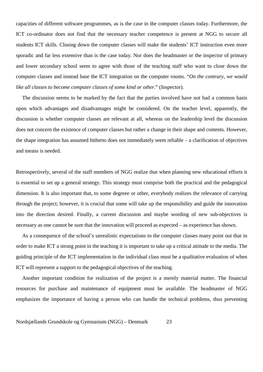capacities of different software programmes, as is the case in the computer classes today. Furthermore, the ICT co-ordinator does not find that the necessary teacher competence is present at NGG to secure all students ICT skills. Closing down the computer classes will make the students' ICT instruction even more sporadic and far less extensive than is the case today. Nor does the headmaster or the inspector of primary and lower secondary school seem to agree with those of the teaching staff who want to close down the computer classes and instead base the ICT integration on the computer rooms. "*On the contrary, we would like all classes to become computer classes of some kind or other.*" (Inspector).

The discussion seems to be marked by the fact that the parties involved have not had a common basis upon which advantages and disadvantages might be considered. On the teacher level, apparently, the discussion is whether computer classes are relevant at all, whereas on the leadership level the discussion does not concern the existence of computer classes but rather a change in their shape and contents. However, the shape integration has assumed hitherto does not immediately seem reliable – a clarification of objectives and means is needed.

Retrospectively, several of the staff members of NGG realize that when planning new educational efforts it is essential to set up a general strategy. This strategy must comprise both the practical and the pedagogical dimension. It is also important that, to some degreee or other, everybody realizes the relevance of carrying through the project; however, it is crucial that some will take up the responsibility and guide the innovation into the direction desired. Finally, a current discussion and maybe wording of new sub-objectives is necessary as one cannot be sure that the innovation will proceed as expected – as experience has shown.

As a consequence of the school's unrealistic expectations to the computer classes many point out that in order to make ICT a strong point in the teaching it is important to take up a critical attitude to the media. The guiding principle of the ICT implementation in the individual class must be a qualitative evaluation of when ICT will represent a support to the pedagogical objectives of the teaching.

Another important condition for realization of the project is a merely material matter. The financial resources for purchase and maintenance of equipment must be available. The headmaster of NGG emphasizes the importance of having a person who can handle the technical problems, thus preventing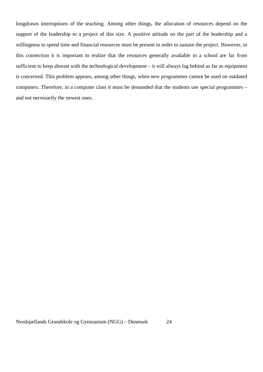longdrawn interruptions of the teaching. Among other things, the allocation of resources depend on the support of the leadership to a project of this size. A positive attitude on the part of the leadership and a willingness to spend time and financial resources must be present in order to sustain the project. However, in this connection it is important to realize that the resources generally available in a school are far from sufficient to keep abreast with the technological development – it will always lag behind as far as equipment is concerned. This problem appears, among other things, when new programmes cannot be used on outdated computers. Therefore, in a computer class it must be demanded that the students use special programmes – and not necessarily the newest ones.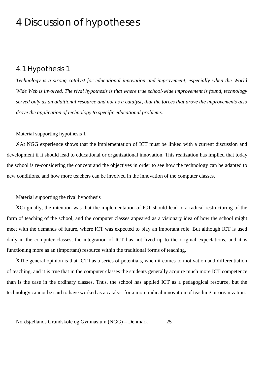## 4 Discussion of hypotheses

### 4.1 Hypothesis 1

*Technology is a strong catalyst for educational innovation and improvement, especially when the World Wide Web is involved. The rival hypothesis is that where true school-wide improvement is found, technology served only as an additional resource and not as a catalyst, that the forces that drove the improvements also drove the application of technology to specific educational problems.*

### Material supporting hypothesis 1

ΧAt NGG experience shows that the implementation of ICT must be linked with a current discussion and development if it should lead to educational or organizational innovation. This realization has implied that today the school is re-considering the concept and the objectives in order to see how the technology can be adapted to new conditions, and how more teachers can be involved in the innovation of the computer classes.

#### Material supporting the rival hypothesis

ΧOriginally, the intention was that the implementation of ICT should lead to a radical restructuring of the form of teaching of the school, and the computer classes appeared as a visionary idea of how the school might meet with the demands of future, where ICT was expected to play an important role. But although ICT is used daily in the computer classes, the integration of ICT has not lived up to the original expectations, and it is functioning more as an (important) resource within the traditional forms of teaching.

ΧThe general opinion is that ICT has a series of potentials, when it comes to motivation and differentiation of teaching, and it is true that in the computer classes the students generally acquire much more ICT competence than is the case in the ordinary classes. Thus, the school has applied ICT as a pedagogical resource, but the technology cannot be said to have worked as a catalyst for a more radical innovation of teaching or organization.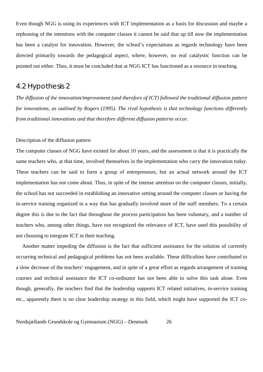Even though NGG is using its experiences with ICT implementation as a basis for discussion and maybe a rephrasing of the intentions with the computer classes it cannot be said that up till now the implementation has been a catalyst for innovation. However, the school's expectations as regards technology have been directed primarily towards the pedagogical aspect, where, however, no real catalystic function can be pointed out either. Thus, it must be concluded that at NGG ICT has functioned as a resource in teaching.

## 4.2 Hypothesis 2

*The diffusion of the innovation/improvement (and therefore of ICT) followed the traditional diffusion pattern for innovations, as outlined by Rogers (1995). The rival hypothesis is that technology functions differently from traditional innovations and that therefore different diffusion patterns occur.*

### Description of the diffusion pattern

The computer classes of NGG have existed for about 10 years, and the assessment is that it is practically the same teachers who, at that time, involved themselves in the implementation who carry the innovation today. These teachers can be said to form a group of entrepreneurs, but an actual network around the ICT implementation has not come about. Thus, in spite of the intense attention on the computer classes, initially, the school has not succeeded in establishing an innovative setting around the computer classes or having the in-service training organized in a way that has gradually involved more of the staff members. To a certain degree this is due to the fact that throughout the process participation has been voluntary, and a number of teachers who, among other things, have not recognized the relevance of ICT, have used this possibility of not choosing to integrate ICT in their teaching.

Another matter impeding the diffusion is the fact that sufficient assistance for the solution of currently occurring technical and pedagogical problems has not been available. These difficulties have contributed to a slow decrease of the teachers' engagement, and in spite of a great effort as regards arrangement of training courses and technical assistance the ICT co-ordinator has not been able to solve this task alone. Even though, generally, the teachers find that the leadership supports ICT related initiatives, in-service training etc., apparently there is no clear leadership strategy in this field, which might have supported the ICT co-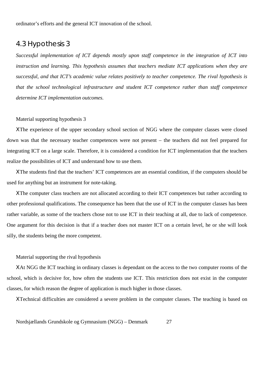ordinator's efforts and the general ICT innovation of the school.

## 4.3 Hypothesis 3

*Successful implementation of ICT depends mostly upon staff competence in the integration of ICT into instruction and learning. This hypothesis assumes that teachers mediate ICT applications when they are successful, and that ICT's academic value relates positively to teacher competence. The rival hypothesis is that the school technological infrastructure and student ICT competence rather than staff competence determine ICT implementation outcomes.*

#### Material supporting hypothesis 3

ΧThe experience of the upper secondary school section of NGG where the computer classes were closed down was that the necessary teacher competences were not present – the teachers did not feel prepared for integrating ICT on a large scale. Therefore, it is considered a condition for ICT implementation that the teachers realize the possibilities of ICT and understand how to use them.

ΧThe students find that the teachers' ICT competences are an essential condition, if the computers should be used for anything but an instrument for note-taking.

ΧThe computer class teachers are not allocated according to their ICT competences but rather according to other professional qualifications. The consequence has been that the use of ICT in the computer classes has been rather variable, as some of the teachers chose not to use ICT in their teaching at all, due to lack of competence. One argument for this decision is that if a teacher does not master ICT on a certain level, he or she will look silly, the students being the more competent.

#### Material supporting the rival hypothesis

ΧAt NGG the ICT teaching in ordinary classes is dependant on the access to the two computer rooms of the school, which is decisive for, how often the students use ICT. This restriction does not exist in the computer classes, for which reason the degree of application is much higher in those classes.

ΧTechnical difficulties are considered a severe problem in the computer classes. The teaching is based on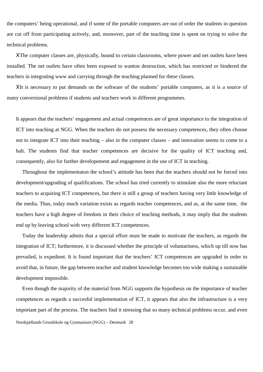the computers' being operational, and if some of the portable computers are out of order the students in question are cut off from participating actively, and, moreover, part of the teaching time is spent on trying to solve the technical problems.

ΧThe computer classes are, physically, bound to certain classrooms, where power and net outlets have been installed. The net outlets have often been exposed to wanton destruction, which has restricted or hindered the teachers in integrating www and carrying through the teaching planned for these classes.

ΧIt is necessary to put demands on the software of the students' portable computers, as it is a source of many conversional problems if students and teachers work in different programmes.

It appears that the teachers' engagement and actual competences are of great importance to the integration of ICT into teaching at NGG. When the teachers do not possess the necessary competences, they often choose not to integrate ICT into their teaching – also in the computer classes – and innovation seems to come to a halt. The students find that teacher competences are decisive for the quality of ICT teaching and, consequently, also for further developement and engagement in the use of ICT in teaching.

Throughout the implementaton the school's attitude has been that the teachers should not be forced into development/upgrading of qualifications. The school has tried currently to stimulate also the more reluctant teachers to acquiring ICT competences, but there is still a group of teachers having very little knowledge of the media. Thus, today much variation exists as regards teacher competences, and as, at the same time, the teachers have a high degree of freedom in their choice of teaching methods, it may imply that the students end up by leaving school with very different ICT competences.

Today the leadership admits that a special effort must be made to motivate the teachers, as regards the integration of ICT; furthermore, it is discussed whether the principle of voluntariness, which up till now has prevailed, is expedient. It is found important that the teachers' ICT competences are upgraded in order to avoid that, in future, the gap between teacher and student knowledge becomes too wide making a sustainable development impossible.

Nordsjællands Grundskole og Gymnasium (NGG) – Denmark 28 Even though the majority of the material from NGG supports the hypothesis on the importance of teacher competences as regards a succesful implementation of ICT, it appears that also the infrastructure is a very important part of the process. The teachers find it stressing that so many technical problems occur, and even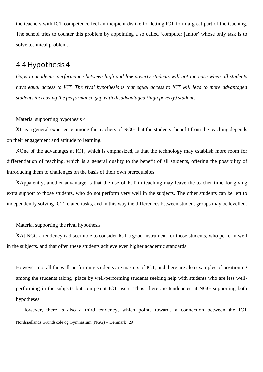the teachers with ICT competence feel an incipient dislike for letting ICT form a great part of the teaching. The school tries to counter this problem by appointing a so called 'computer janitor' whose only task is to solve technical problems.

## 4.4 Hypothesis 4

*Gaps in academic performance between high and low poverty students will not increase when all students have equal access to ICT. The rival hypothesis is that equal access to ICT will lead to more advantaged students increasing the performance gap with disadvantaged (high poverty) students.*

#### Material supporting hypothesis 4

ΧIt is a general experience among the teachers of NGG that the students' benefit from the teaching depends on their engagement and attitude to learning.

ΧOne of the advantages at ICT, which is emphasized, is that the technology may establish more room for differentiation of teaching, which is a general quality to the benefit of all students, offering the possibility of introducing them to challenges on the basis of their own prerequisites.

ΧApparently, another advantage is that the use of ICT in teaching may leave the teacher time for giving extra support to those students, who do not perform very well in the subjects. The other students can be left to independently solving ICT-related tasks, and in this way the differences between student groups may be levelled.

### Material supporting the rival hypothesis

ΧAt NGG a tendency is discernible to consider ICT a good instrument for those students, who perform well in the subjects, and that often these students achieve even higher academic standards.

However, not all the well-performing students are masters of ICT, and there are also examples of positioning among the students taking place by well-performing students seeking help with students who are less wellperforming in the subjects but competent ICT users. Thus, there are tendencies at NGG supporting both hypotheses.

Nordsjællands Grundskole og Gymnasium (NGG) – Denmark 29 However, there is also a third tendency, which points towards a connection between the ICT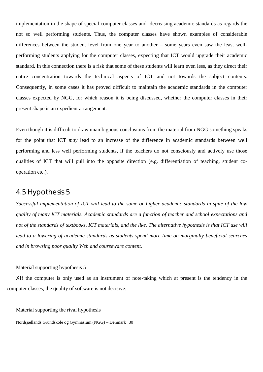implementation in the shape of special computer classes and decreasing academic standards as regards the not so well performing students. Thus, the computer classes have shown examples of considerable differences between the student level from one year to another – some years even saw the least wellperforming students applying for the computer classes, expecting that ICT would upgrade their academic standard. In this connection there is a risk that some of these students will learn even less, as they direct their entire concentration towards the technical aspects of ICT and not towards the subject contents. Consequently, in some cases it has proved difficult to maintain the academic standards in the computer classes expected by NGG, for which reason it is being discussed, whether the computer classes in their present shape is an expedient arrangement.

Even though it is difficult to draw unambiguous conclusions from the material from NGG something speaks for the point that ICT *may* lead to an increase of the difference in academic standards between well performing and less well performing students, if the teachers do not consciously and actively use those qualities of ICT that will pull into the opposite direction (e.g. differentiation of teaching, student cooperation etc.).

### 4.5 Hypothesis 5

*Successful implementation of ICT will lead to the same or higher academic standards in spite of the low quality of many ICT materials. Academic standards are a function of teacher and school expectations and* not of the standards of textbooks, ICT materials, and the like. The alternative hypothesis is that ICT use will *lead to a lowering of academic standards as students spend more time on marginally beneficial searches and in browsing poor quality Web and courseware content.*

#### Material supporting hypothesis 5

ΧIf the computer is only used as an instrument of note-taking which at present is the tendency in the computer classes, the quality of software is not decisive.

Material supporting the rival hypothesis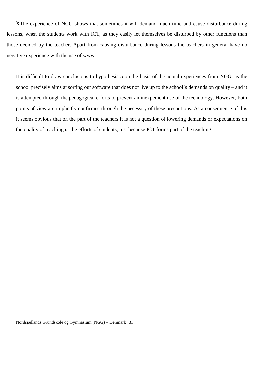ΧThe experience of NGG shows that sometimes it will demand much time and cause disturbance during lessons, when the students work with ICT, as they easily let themselves be disturbed by other functions than those decided by the teacher. Apart from causing disturbance during lessons the teachers in general have no negative experience with the use of www.

It is difficult to draw conclusions to hypothesis 5 on the basis of the actual experiences from NGG, as the school precisely aims at sorting out software that does not live up to the school's demands on quality – and it is attempted through the pedagogical efforts to prevent an inexpedient use of the technology. However, both points of view are implicitly confirmed through the necessity of these precautions. As a consequence of this it seems obvious that on the part of the teachers it is not a question of lowering demands or expectations on the quality of teaching or the efforts of students, just because ICT forms part of the teaching.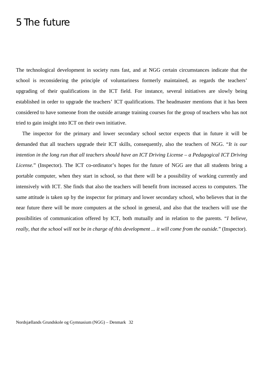## 5 The future

The technological development in society runs fast, and at NGG certain circumstances indicate that the school is reconsidering the principle of voluntariness formerly maintained, as regards the teachers' upgrading of their qualifications in the ICT field. For instance, several initiatives are slowly being established in order to upgrade the teachers' ICT qualifications. The headmaster mentions that it has been considered to have someone from the outside arrange training courses for the group of teachers who has not tried to gain insight into ICT on their own initiative.

The inspector for the primary and lower secondary school sector expects that in future it will be demanded that all teachers upgrade their ICT skills, consequently, also the teachers of NGG. "*It is our intention in the long run that all teachers should have an ICT Driving License – a Pedagogical ICT Driving License.*" (Inspector). The ICT co-ordinator's hopes for the future of NGG are that all students bring a portable computer, when they start in school, so that there will be a possibility of working currently and intensively with ICT. She finds that also the teachers will benefit from increased access to computers. The same attitude is taken up by the inspector for primary and lower secondary school, who believes that in the near future there will be more computers at the school in general, and also that the teachers will use the possibilities of communication offered by ICT, both mutually and in relation to the parents. "*I believe, really, that the school will not be in charge of this development ... it will come from the outside.*" (Inspector).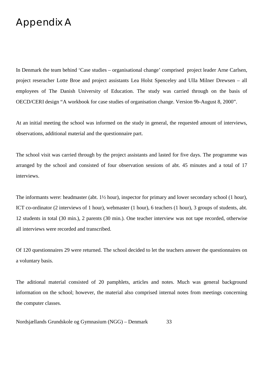## Appendix A

In Denmark the team behind 'Case studies – organisational change' comprised project leader Arne Carlsen, project reseracher Lotte Broe and project assistants Lea Holst Spenceley and Ulla Milner Drewsen – all employees of The Danish University of Education. The study was carried through on the basis of OECD/CERI design "A workbook for case studies of organisation change. Version 9b-August 8, 2000".

At an initial meeting the school was informed on the study in general, the requested amount of interviews, observations, additional material and the questionnaire part.

The school visit was carried through by the project assistants and lasted for five days. The programme was arranged by the school and consisted of four observation sessions of abt. 45 minutes and a total of 17 interviews.

The informants were: headmaster (abt.  $1\frac{1}{2}$  hour), inspector for primary and lower secondary school (1 hour), ICT co-ordinator (2 interviews of 1 hour), webmaster (1 hour), 6 teachers (1 hour), 3 groups of students, abt. 12 students in total (30 min.), 2 parents (30 min.). One teacher interview was not tape recorded, otherwise all interviews were recorded and transcribed.

Of 120 questionnaires 29 were returned. The school decided to let the teachers answer the questionnaires on a voluntary basis.

The aditional material consisted of 20 pamphlets, articles and notes. Much was general background information on the school; however, the material also comprised internal notes from meetings concerning the computer classes.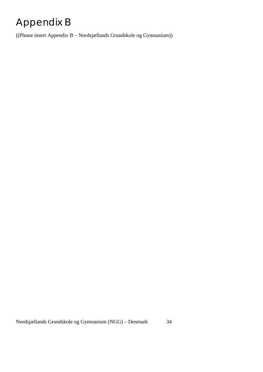# Appendix B

((Please insert Appendix B – Nordsjællands Grundskole og Gymnasium))